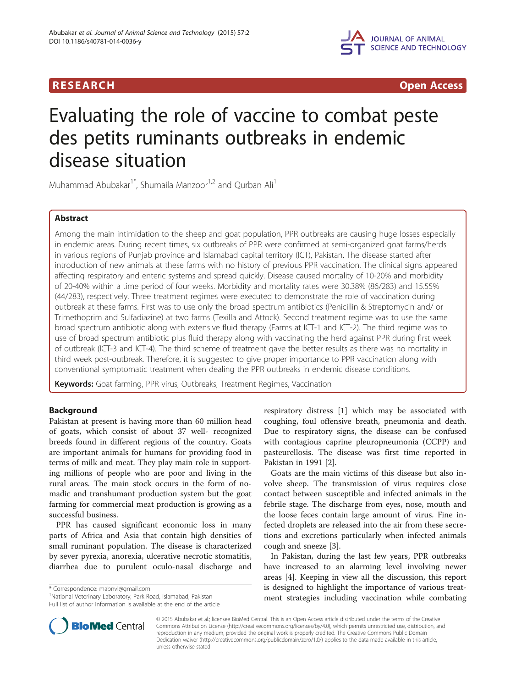

**RESEARCH RESEARCH** *CHECKER CHECKER CHECKER CHECKER CHECKER CHECKER CHECKER CHECKER CHECKER CHECKER CHECKER* 

# Evaluating the role of vaccine to combat peste des petits ruminants outbreaks in endemic disease situation

Muhammad Abubakar<sup>1\*</sup>, Shumaila Manzoor<sup>1,2</sup> and Qurban Ali<sup>1</sup>

# Abstract

Among the main intimidation to the sheep and goat population, PPR outbreaks are causing huge losses especially in endemic areas. During recent times, six outbreaks of PPR were confirmed at semi-organized goat farms/herds in various regions of Punjab province and Islamabad capital territory (ICT), Pakistan. The disease started after introduction of new animals at these farms with no history of previous PPR vaccination. The clinical signs appeared affecting respiratory and enteric systems and spread quickly. Disease caused mortality of 10-20% and morbidity of 20-40% within a time period of four weeks. Morbidity and mortality rates were 30.38% (86/283) and 15.55% (44/283), respectively. Three treatment regimes were executed to demonstrate the role of vaccination during outbreak at these farms. First was to use only the broad spectrum antibiotics (Penicillin & Streptomycin and/ or Trimethoprim and Sulfadiazine) at two farms (Texilla and Attock). Second treatment regime was to use the same broad spectrum antibiotic along with extensive fluid therapy (Farms at ICT-1 and ICT-2). The third regime was to use of broad spectrum antibiotic plus fluid therapy along with vaccinating the herd against PPR during first week of outbreak (ICT-3 and ICT-4). The third scheme of treatment gave the better results as there was no mortality in third week post-outbreak. Therefore, it is suggested to give proper importance to PPR vaccination along with conventional symptomatic treatment when dealing the PPR outbreaks in endemic disease conditions.

Keywords: Goat farming, PPR virus, Outbreaks, Treatment Regimes, Vaccination

# Background

Pakistan at present is having more than 60 million head of goats, which consist of about 37 well- recognized breeds found in different regions of the country. Goats are important animals for humans for providing food in terms of milk and meat. They play main role in supporting millions of people who are poor and living in the rural areas. The main stock occurs in the form of nomadic and transhumant production system but the goat farming for commercial meat production is growing as a successful business.

PPR has caused significant economic loss in many parts of Africa and Asia that contain high densities of small ruminant population. The disease is characterized by sever pyrexia, anorexia, ulcerative necrotic stomatitis, diarrhea due to purulent oculo-nasal discharge and

\* Correspondence: [mabnvl@gmail.com](mailto:mabnvl@gmail.com) <sup>1</sup>

<sup>1</sup>National Veterinary Laboratory, Park Road, Islamabad, Pakistan Full list of author information is available at the end of the article respiratory distress [\[1](#page-4-0)] which may be associated with coughing, foul offensive breath, pneumonia and death. Due to respiratory signs, the disease can be confused with contagious caprine pleuropneumonia (CCPP) and pasteurellosis. The disease was first time reported in Pakistan in 1991 [\[2](#page-4-0)].

Goats are the main victims of this disease but also involve sheep. The transmission of virus requires close contact between susceptible and infected animals in the febrile stage. The discharge from eyes, nose, mouth and the loose feces contain large amount of virus. Fine infected droplets are released into the air from these secretions and excretions particularly when infected animals cough and sneeze [\[3](#page-4-0)].

In Pakistan, during the last few years, PPR outbreaks have increased to an alarming level involving newer areas [\[4](#page-4-0)]. Keeping in view all the discussion, this report is designed to highlight the importance of various treatment strategies including vaccination while combating



© 2015 Abubakar et al.; licensee BioMed Central. This is an Open Access article distributed under the terms of the Creative Commons Attribution License [\(http://creativecommons.org/licenses/by/4.0\)](http://creativecommons.org/licenses/by/4.0), which permits unrestricted use, distribution, and reproduction in any medium, provided the original work is properly credited. The Creative Commons Public Domain Dedication waiver [\(http://creativecommons.org/publicdomain/zero/1.0/](http://creativecommons.org/publicdomain/zero/1.0/)) applies to the data made available in this article, unless otherwise stated.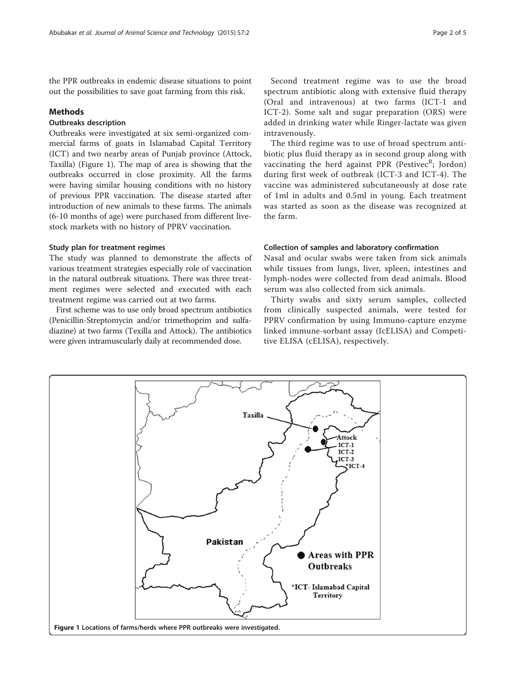the PPR outbreaks in endemic disease situations to point out the possibilities to save goat farming from this risk.

# Methods

# Outbreaks description

Outbreaks were investigated at six semi-organized commercial farms of goats in Islamabad Capital Territory (ICT) and two nearby areas of Punjab province (Attock, Taxilla) (Figure 1). The map of area is showing that the outbreaks occurred in close proximity. All the farms were having similar housing conditions with no history of previous PPR vaccination. The disease started after introduction of new animals to these farms. The animals (6-10 months of age) were purchased from different livestock markets with no history of PPRV vaccination.

# Study plan for treatment regimes

The study was planned to demonstrate the affects of various treatment strategies especially role of vaccination in the natural outbreak situations. There was three treatment regimes were selected and executed with each treatment regime was carried out at two farms.

First scheme was to use only broad spectrum antibiotics (Penicillin-Streptomycin and/or trimethoprim and sulfadiazine) at two farms (Texilla and Attock). The antibiotics were given intramuscularly daily at recommended dose.

Second treatment regime was to use the broad spectrum antibiotic along with extensive fluid therapy (Oral and intravenous) at two farms (ICT-1 and ICT-2). Some salt and sugar preparation (ORS) were added in drinking water while Ringer-lactate was given intravenously.

The third regime was to use of broad spectrum antibiotic plus fluid therapy as in second group along with vaccinating the herd against PPR (Pestivec<sup>R</sup>; Jordon) during first week of outbreak (ICT-3 and ICT-4). The vaccine was administered subcutaneously at dose rate of 1ml in adults and 0.5ml in young. Each treatment was started as soon as the disease was recognized at the farm.

#### Collection of samples and laboratory confirmation

Nasal and ocular swabs were taken from sick animals while tissues from lungs, liver, spleen, intestines and lymph-nodes were collected from dead animals. Blood serum was also collected from sick animals.

Thirty swabs and sixty serum samples, collected from clinically suspected animals, were tested for PPRV confirmation by using Immuno-capture enzyme linked immune-sorbant assay (IcELISA) and Competitive ELISA (cELISA), respectively.

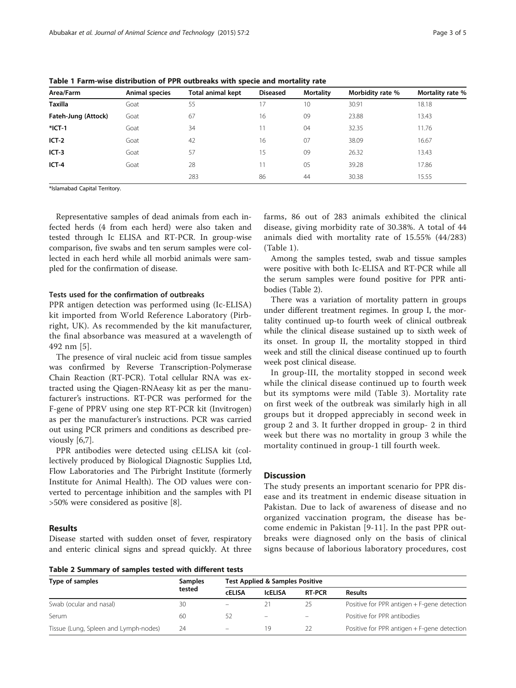| Area/Farm           | Animal species | <b>Total animal kept</b> | <b>Diseased</b> | <b>Mortality</b> | Morbidity rate % | Mortality rate % |
|---------------------|----------------|--------------------------|-----------------|------------------|------------------|------------------|
| <b>Taxilla</b>      | Goat           | 55                       | 17              | 10               | 30.91            | 18.18            |
| Fateh-Jung (Attock) | Goat           | 67                       | 16              | 09               | 23.88            | 13.43            |
| $*$ ICT-1           | Goat           | 34                       | 11              | 04               | 32.35            | 11.76            |
| $ICT-2$             | Goat           | 42                       | 16              | 07               | 38.09            | 16.67            |
| $ICT-3$             | Goat           | 57                       | 15              | 09               | 26.32            | 13.43            |
| $ICT-4$             | Goat           | 28                       |                 | 05               | 39.28            | 17.86            |
|                     |                | 283                      | 86              | 44               | 30.38            | 15.55            |

Table 1 Farm-wise distribution of PPR outbreaks with specie and mortality rate

\*Islamabad Capital Territory.

Representative samples of dead animals from each infected herds (4 from each herd) were also taken and tested through Ic ELISA and RT-PCR. In group-wise comparison, five swabs and ten serum samples were collected in each herd while all morbid animals were sampled for the confirmation of disease.

#### Tests used for the confirmation of outbreaks

PPR antigen detection was performed using (Ic-ELISA) kit imported from World Reference Laboratory (Pirbright, UK). As recommended by the kit manufacturer, the final absorbance was measured at a wavelength of 492 nm [\[5](#page-4-0)].

The presence of viral nucleic acid from tissue samples was confirmed by Reverse Transcription-Polymerase Chain Reaction (RT-PCR). Total cellular RNA was extracted using the Qiagen-RNAeasy kit as per the manufacturer's instructions. RT-PCR was performed for the F-gene of PPRV using one step RT-PCR kit (Invitrogen) as per the manufacturer's instructions. PCR was carried out using PCR primers and conditions as described previously [\[6,7\]](#page-4-0).

PPR antibodies were detected using cELISA kit (collectively produced by Biological Diagnostic Supplies Ltd, Flow Laboratories and The Pirbright Institute (formerly Institute for Animal Health). The OD values were converted to percentage inhibition and the samples with PI >50% were considered as positive [[8\]](#page-4-0).

#### Results

Disease started with sudden onset of fever, respiratory and enteric clinical signs and spread quickly. At three

Table 2 Summary of samples tested with different tests

farms, 86 out of 283 animals exhibited the clinical disease, giving morbidity rate of 30.38%. A total of 44 animals died with mortality rate of 15.55% (44/283) (Table 1).

Among the samples tested, swab and tissue samples were positive with both Ic-ELISA and RT-PCR while all the serum samples were found positive for PPR antibodies (Table 2).

There was a variation of mortality pattern in groups under different treatment regimes. In group I, the mortality continued up-to fourth week of clinical outbreak while the clinical disease sustained up to sixth week of its onset. In group II, the mortality stopped in third week and still the clinical disease continued up to fourth week post clinical disease.

In group-III, the mortality stopped in second week while the clinical disease continued up to fourth week but its symptoms were mild (Table [3](#page-3-0)). Mortality rate on first week of the outbreak was similarly high in all groups but it dropped appreciably in second week in group 2 and 3. It further dropped in group- 2 in third week but there was no mortality in group 3 while the mortality continued in group-1 till fourth week.

### **Discussion**

The study presents an important scenario for PPR disease and its treatment in endemic disease situation in Pakistan. Due to lack of awareness of disease and no organized vaccination program, the disease has become endemic in Pakistan [[9](#page-4-0)-[11](#page-4-0)]. In the past PPR outbreaks were diagnosed only on the basis of clinical signs because of laborious laboratory procedures, cost

| Type of samples                       | <b>Samples</b> | <b>Test Applied &amp; Samples Positive</b> |                         |               |                                             |  |
|---------------------------------------|----------------|--------------------------------------------|-------------------------|---------------|---------------------------------------------|--|
|                                       | tested         | <b>CELISA</b>                              | <b>ICELISA</b>          | <b>RT-PCR</b> | <b>Results</b>                              |  |
| Swab (ocular and nasal)               | 30             | -                                          | 21                      | 25            | Positive for PPR antigen + F-gene detection |  |
| Serum                                 | 60             | 52                                         | $\qquad \qquad \  \, -$ |               | Positive for PPR antibodies                 |  |
| Tissue (Lung, Spleen and Lymph-nodes) | 24             | $\overline{\phantom{0}}$                   | 19                      |               | Positive for PPR antigen + F-gene detection |  |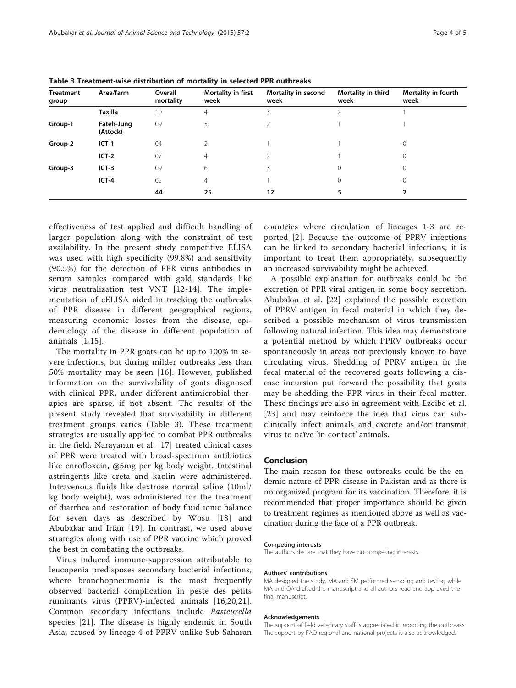| <b>Treatment</b><br>group | Area/farm              | Overall<br>mortality | Mortality in first<br>week | Mortality in second<br>week | Mortality in third<br>week | Mortality in fourth<br>week |
|---------------------------|------------------------|----------------------|----------------------------|-----------------------------|----------------------------|-----------------------------|
|                           | <b>Taxilla</b>         | 10                   | 4                          |                             |                            |                             |
| Group-1                   | Fateh-Jung<br>(Attock) | 09                   |                            |                             |                            |                             |
| Group-2                   | $ICT-1$                | 04                   |                            |                             |                            | 0                           |
|                           | $ICT-2$                | 07                   | 4                          |                             |                            | 0                           |
| Group-3                   | $ICT-3$                | 09                   | 6                          |                             | 0                          | $\mathbf 0$                 |
|                           | $ICT-4$                | 05                   | $\overline{4}$             |                             | 0                          | 0                           |
|                           |                        | 44                   | 25                         | 12                          |                            |                             |

<span id="page-3-0"></span>Table 3 Treatment-wise distribution of mortality in selected PPR outbreaks

effectiveness of test applied and difficult handling of larger population along with the constraint of test availability. In the present study competitive ELISA was used with high specificity (99.8%) and sensitivity (90.5%) for the detection of PPR virus antibodies in serum samples compared with gold standards like virus neutralization test VNT [\[12-14\]](#page-4-0). The implementation of cELISA aided in tracking the outbreaks of PPR disease in different geographical regions, measuring economic losses from the disease, epidemiology of the disease in different population of animals [[1,15](#page-4-0)].

The mortality in PPR goats can be up to 100% in severe infections, but during milder outbreaks less than 50% mortality may be seen [[16](#page-4-0)]. However, published information on the survivability of goats diagnosed with clinical PPR, under different antimicrobial therapies are sparse, if not absent. The results of the present study revealed that survivability in different treatment groups varies (Table 3). These treatment strategies are usually applied to combat PPR outbreaks in the field. Narayanan et al. [\[17\]](#page-4-0) treated clinical cases of PPR were treated with broad-spectrum antibiotics like enrofloxcin, @5mg per kg body weight. Intestinal astringents like creta and kaolin were administered. Intravenous fluids like dextrose normal saline (10ml/ kg body weight), was administered for the treatment of diarrhea and restoration of body fluid ionic balance for seven days as described by Wosu [[18\]](#page-4-0) and Abubakar and Irfan [[19](#page-4-0)]. In contrast, we used above strategies along with use of PPR vaccine which proved the best in combating the outbreaks.

Virus induced immune-suppression attributable to leucopenia predisposes secondary bacterial infections, where bronchopneumonia is the most frequently observed bacterial complication in peste des petits ruminants virus (PPRV)-infected animals [[16,20,21](#page-4-0)]. Common secondary infections include Pasteurella species [[21\]](#page-4-0). The disease is highly endemic in South Asia, caused by lineage 4 of PPRV unlike Sub-Saharan countries where circulation of lineages 1-3 are reported [[2\]](#page-4-0). Because the outcome of PPRV infections can be linked to secondary bacterial infections, it is important to treat them appropriately, subsequently an increased survivability might be achieved.

A possible explanation for outbreaks could be the excretion of PPR viral antigen in some body secretion. Abubakar et al. [[22](#page-4-0)] explained the possible excretion of PPRV antigen in fecal material in which they described a possible mechanism of virus transmission following natural infection. This idea may demonstrate a potential method by which PPRV outbreaks occur spontaneously in areas not previously known to have circulating virus. Shedding of PPRV antigen in the fecal material of the recovered goats following a disease incursion put forward the possibility that goats may be shedding the PPR virus in their fecal matter. These findings are also in agreement with Ezeibe et al. [[23](#page-4-0)] and may reinforce the idea that virus can subclinically infect animals and excrete and/or transmit virus to naïve 'in contact' animals.

### Conclusion

The main reason for these outbreaks could be the endemic nature of PPR disease in Pakistan and as there is no organized program for its vaccination. Therefore, it is recommended that proper importance should be given to treatment regimes as mentioned above as well as vaccination during the face of a PPR outbreak.

#### Competing interests

The authors declare that they have no competing interests.

#### Authors' contributions

MA designed the study, MA and SM performed sampling and testing while MA and QA drafted the manuscript and all authors read and approved the final manuscript.

#### Acknowledgements

The support of field veterinary staff is appreciated in reporting the outbreaks. The support by FAO regional and national projects is also acknowledged.